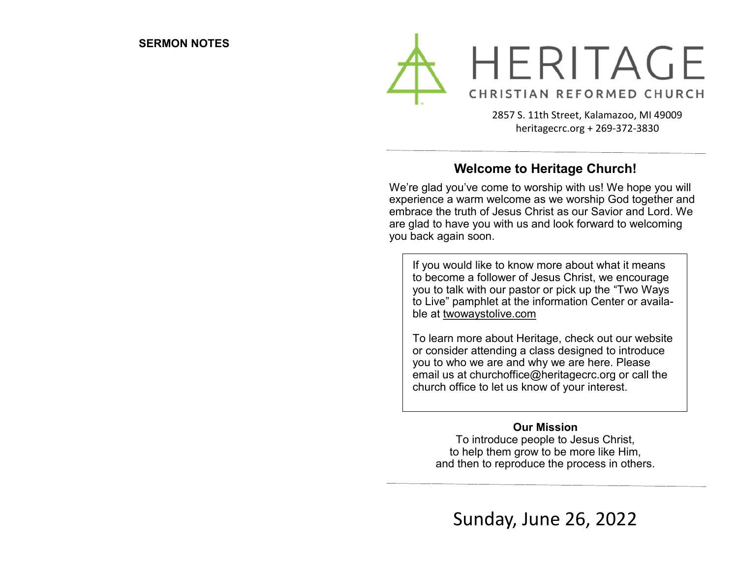

2857 S. 11th Street, Kalamazoo, MI 49009 heritagecrc.org + 269-372-3830

## **Welcome to Heritage Church!**

We're glad you've come to worship with us! We hope you will experience a warm welcome as we worship God together and embrace the truth of Jesus Christ as our Savior and Lord. We are glad to have you with us and look forward to welcoming you back again soon.

If you would like to know more about what it means to become a follower of Jesus Christ, we encourage you to talk with our pastor or pick up the "Two Ways to Live" pamphlet at the information Center or available at twowaystolive.com

To learn more about Heritage, check out our website or consider attending a class designed to introduce you to who we are and why we are here. Please email us at churchoffice@heritagecrc.org or call the church office to let us know of your interest.

#### **Our Mission**

To introduce people to Jesus Christ, to help them grow to be more like Him, and then to reproduce the process in others.

Sunday, June 26, 2022